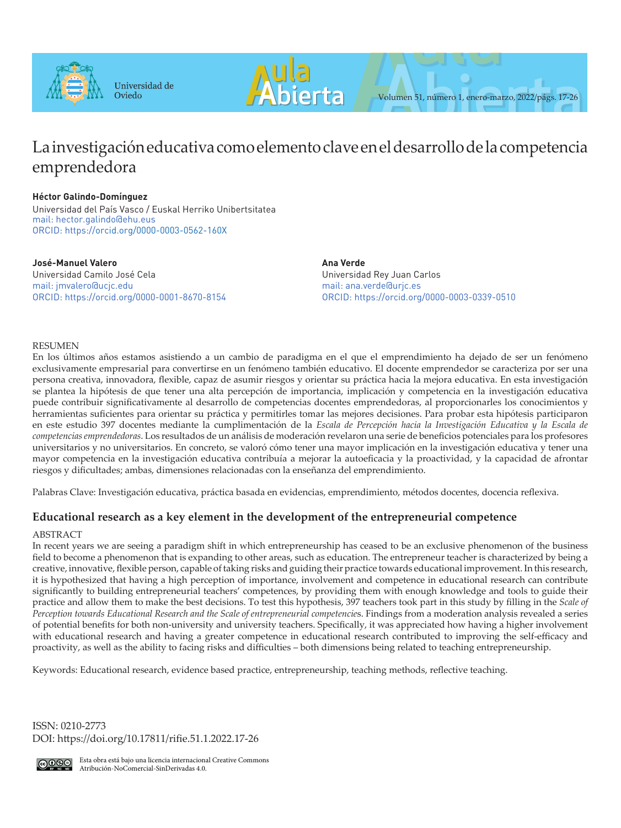



# La investigación educativa como elemento clave en el desarrollo de la competencia emprendedora

# **Héctor Galindo-Domínguez**

Universidad del País Vasco / Euskal Herriko Unibertsitatea mail: hector.galindo@ehu.eus ORCID: https://orcid.org/0000-0003-0562-160X

**José-Manuel Valero** Universidad Camilo José Cela mail: jmvalero@ucjc.edu ORCID: https://orcid.org/0000-0001-8670-8154 **Ana Verde** Universidad Rey Juan Carlos mail: ana.verde@urjc.es ORCID: https://orcid.org/0000-0003-0339-0510

# RESUMEN

En los últimos años estamos asistiendo a un cambio de paradigma en el que el emprendimiento ha dejado de ser un fenómeno exclusivamente empresarial para convertirse en un fenómeno también educativo. El docente emprendedor se caracteriza por ser una persona creativa, innovadora, flexible, capaz de asumir riesgos y orientar su práctica hacia la mejora educativa. En esta investigación se plantea la hipótesis de que tener una alta percepción de importancia, implicación y competencia en la investigación educativa puede contribuir significativamente al desarrollo de competencias docentes emprendedoras, al proporcionarles los conocimientos y herramientas suficientes para orientar su práctica y permitirles tomar las mejores decisiones. Para probar esta hipótesis participaron en este estudio 397 docentes mediante la cumplimentación de la *Escala de Percepción hacia la Investigación Educativa y la Escala de competencias emprendedoras*. Los resultados de un análisis de moderación revelaron una serie de beneficios potenciales para los profesores universitarios y no universitarios. En concreto, se valoró cómo tener una mayor implicación en la investigación educativa y tener una mayor competencia en la investigación educativa contribuía a mejorar la autoeficacia y la proactividad, y la capacidad de afrontar riesgos y dificultades; ambas, dimensiones relacionadas con la enseñanza del emprendimiento.

Palabras Clave: Investigación educativa, práctica basada en evidencias, emprendimiento, métodos docentes, docencia reflexiva.

# **Educational research as a key element in the development of the entrepreneurial competence**

# ABSTRACT

In recent years we are seeing a paradigm shift in which entrepreneurship has ceased to be an exclusive phenomenon of the business field to become a phenomenon that is expanding to other areas, such as education. The entrepreneur teacher is characterized by being a creative, innovative, flexible person, capable of taking risks and guiding their practice towards educational improvement. In this research, it is hypothesized that having a high perception of importance, involvement and competence in educational research can contribute significantly to building entrepreneurial teachers' competences, by providing them with enough knowledge and tools to guide their practice and allow them to make the best decisions. To test this hypothesis, 397 teachers took part in this study by filling in the *Scale of Perception towards Educational Research and the Scale of entrepreneurial competencie*s. Findings from a moderation analysis revealed a series of potential benefits for both non-university and university teachers. Specifically, it was appreciated how having a higher involvement with educational research and having a greater competence in educational research contributed to improving the self-efficacy and proactivity, as well as the ability to facing risks and difficulties – both dimensions being related to teaching entrepreneurship.

Keywords: Educational research, evidence based practice, entrepreneurship, teaching methods, reflective teaching.

ISSN: 0210-2773 DOI: https://doi.org/10.17811/rifie.51.1.2022.17-26



Esta obra está bajo una licencia internacional Creative Commons Atribución-NoComercial-SinDerivadas 4.0.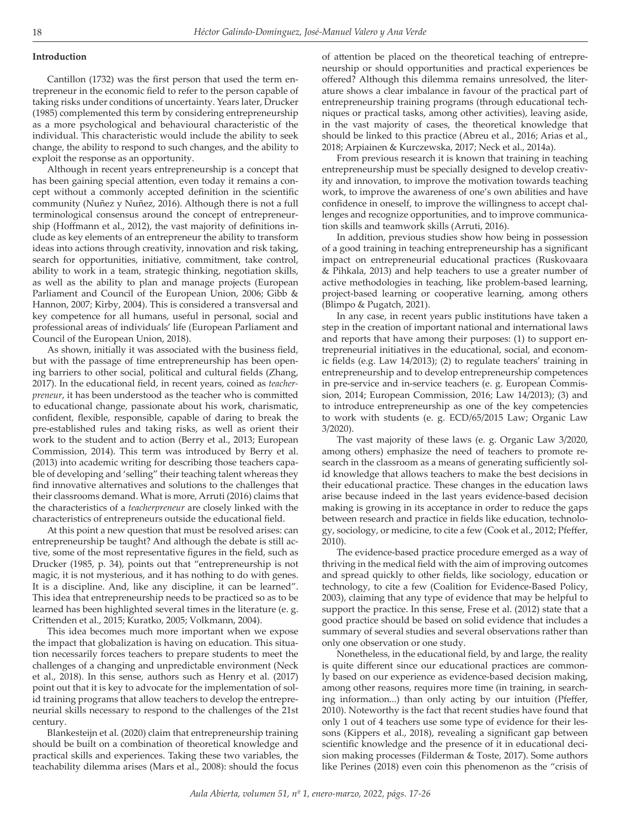#### **Introduction**

Cantillon (1732) was the first person that used the term entrepreneur in the economic field to refer to the person capable of taking risks under conditions of uncertainty. Years later, Drucker (1985) complemented this term by considering entrepreneurship as a more psychological and behavioural characteristic of the individual. This characteristic would include the ability to seek change, the ability to respond to such changes, and the ability to exploit the response as an opportunity.

Although in recent years entrepreneurship is a concept that has been gaining special attention, even today it remains a concept without a commonly accepted definition in the scientific community (Nuñez y Nuñez, 2016). Although there is not a full terminological consensus around the concept of entrepreneurship (Hoffmann et al., 2012), the vast majority of definitions include as key elements of an entrepreneur the ability to transform ideas into actions through creativity, innovation and risk taking, search for opportunities, initiative, commitment, take control, ability to work in a team, strategic thinking, negotiation skills, as well as the ability to plan and manage projects (European Parliament and Council of the European Union, 2006; Gibb & Hannon, 2007; Kirby, 2004). This is considered a transversal and key competence for all humans, useful in personal, social and professional areas of individuals' life (European Parliament and Council of the European Union, 2018).

As shown, initially it was associated with the business field, but with the passage of time entrepreneurship has been opening barriers to other social, political and cultural fields (Zhang, 2017). In the educational field, in recent years, coined as *teacherpreneur*, it has been understood as the teacher who is committed to educational change, passionate about his work, charismatic, confident, flexible, responsible, capable of daring to break the pre-established rules and taking risks, as well as orient their work to the student and to action (Berry et al., 2013; European Commission, 2014). This term was introduced by Berry et al. (2013) into academic writing for describing those teachers capable of developing and 'selling" their teaching talent whereas they find innovative alternatives and solutions to the challenges that their classrooms demand. What is more, Arruti (2016) claims that the characteristics of a *teacherpreneur* are closely linked with the characteristics of entrepreneurs outside the educational field.

At this point a new question that must be resolved arises: can entrepreneurship be taught? And although the debate is still active, some of the most representative figures in the field, such as Drucker (1985, p. 34), points out that "entrepreneurship is not magic, it is not mysterious, and it has nothing to do with genes. It is a discipline. And, like any discipline, it can be learned". This idea that entrepreneurship needs to be practiced so as to be learned has been highlighted several times in the literature (e. g. Crittenden et al., 2015; Kuratko, 2005; Volkmann, 2004).

This idea becomes much more important when we expose the impact that globalization is having on education. This situation necessarily forces teachers to prepare students to meet the challenges of a changing and unpredictable environment (Neck et al., 2018). In this sense, authors such as Henry et al. (2017) point out that it is key to advocate for the implementation of solid training programs that allow teachers to develop the entrepreneurial skills necessary to respond to the challenges of the 21st century.

Blankesteijn et al. (2020) claim that entrepreneurship training should be built on a combination of theoretical knowledge and practical skills and experiences. Taking these two variables, the teachability dilemma arises (Mars et al., 2008): should the focus

of attention be placed on the theoretical teaching of entrepreneurship or should opportunities and practical experiences be offered? Although this dilemma remains unresolved, the literature shows a clear imbalance in favour of the practical part of entrepreneurship training programs (through educational techniques or practical tasks, among other activities), leaving aside, in the vast majority of cases, the theoretical knowledge that should be linked to this practice (Abreu et al., 2016; Arias et al., 2018; Arpiainen & Kurczewska, 2017; Neck et al., 2014a).

From previous research it is known that training in teaching entrepreneurship must be specially designed to develop creativity and innovation, to improve the motivation towards teaching work, to improve the awareness of one's own abilities and have confidence in oneself, to improve the willingness to accept challenges and recognize opportunities, and to improve communication skills and teamwork skills (Arruti, 2016).

In addition, previous studies show how being in possession of a good training in teaching entrepreneurship has a significant impact on entrepreneurial educational practices (Ruskovaara & Pihkala, 2013) and help teachers to use a greater number of active methodologies in teaching, like problem-based learning, project-based learning or cooperative learning, among others (Blimpo & Pugatch, 2021).

In any case, in recent years public institutions have taken a step in the creation of important national and international laws and reports that have among their purposes: (1) to support entrepreneurial initiatives in the educational, social, and economic fields (e.g. Law 14/2013); (2) to regulate teachers' training in entrepreneurship and to develop entrepreneurship competences in pre-service and in-service teachers (e. g. European Commission, 2014; European Commission, 2016; Law 14/2013); (3) and to introduce entrepreneurship as one of the key competencies to work with students (e. g. ECD/65/2015 Law; Organic Law 3/2020).

The vast majority of these laws (e. g. Organic Law 3/2020, among others) emphasize the need of teachers to promote research in the classroom as a means of generating sufficiently solid knowledge that allows teachers to make the best decisions in their educational practice. These changes in the education laws arise because indeed in the last years evidence-based decision making is growing in its acceptance in order to reduce the gaps between research and practice in fields like education, technology, sociology, or medicine, to cite a few (Cook et al., 2012; Pfeffer, 2010).

The evidence-based practice procedure emerged as a way of thriving in the medical field with the aim of improving outcomes and spread quickly to other fields, like sociology, education or technology, to cite a few (Coalition for Evidence-Based Policy, 2003), claiming that any type of evidence that may be helpful to support the practice. In this sense, Frese et al. (2012) state that a good practice should be based on solid evidence that includes a summary of several studies and several observations rather than only one observation or one study.

Nonetheless, in the educational field, by and large, the reality is quite different since our educational practices are commonly based on our experience as evidence-based decision making, among other reasons, requires more time (in training, in searching information...) than only acting by our intuition (Pfeffer, 2010). Noteworthy is the fact that recent studies have found that only 1 out of 4 teachers use some type of evidence for their lessons (Kippers et al., 2018), revealing a significant gap between scientific knowledge and the presence of it in educational decision making processes (Filderman & Toste, 2017). Some authors like Perines (2018) even coin this phenomenon as the "crisis of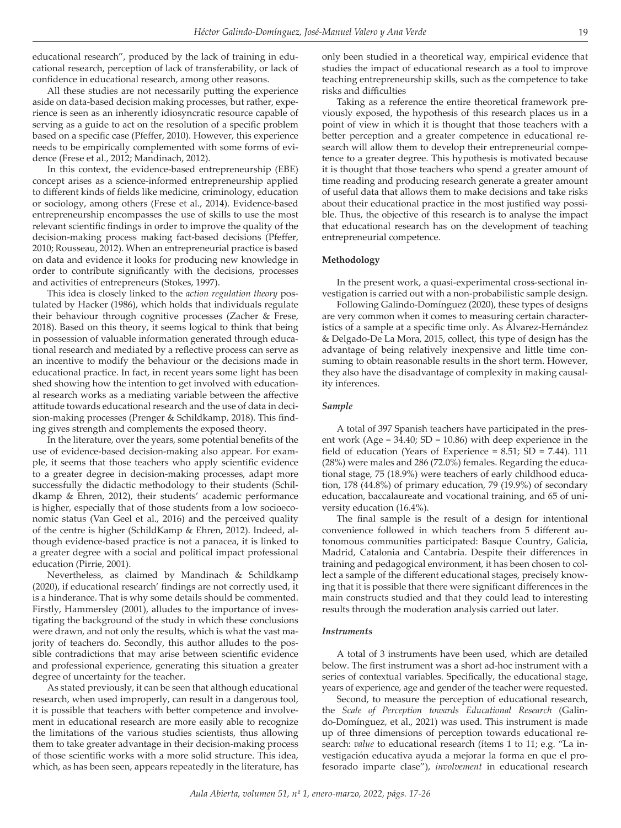educational research", produced by the lack of training in educational research, perception of lack of transferability, or lack of confidence in educational research, among other reasons.

All these studies are not necessarily putting the experience aside on data-based decision making processes, but rather, experience is seen as an inherently idiosyncratic resource capable of serving as a guide to act on the resolution of a specific problem based on a specific case (Pfeffer, 2010). However, this experience needs to be empirically complemented with some forms of evidence (Frese et al., 2012; Mandinach, 2012).

In this context, the evidence-based entrepreneurship (EBE) concept arises as a science-informed entrepreneurship applied to different kinds of fields like medicine, criminology, education or sociology, among others (Frese et al., 2014). Evidence-based entrepreneurship encompasses the use of skills to use the most relevant scientific findings in order to improve the quality of the decision-making process making fact-based decisions (Pfeffer, 2010; Rousseau, 2012). When an entrepreneurial practice is based on data and evidence it looks for producing new knowledge in order to contribute significantly with the decisions, processes and activities of entrepreneurs (Stokes, 1997).

This idea is closely linked to the *action regulation theory* postulated by Hacker (1986), which holds that individuals regulate their behaviour through cognitive processes (Zacher & Frese, 2018). Based on this theory, it seems logical to think that being in possession of valuable information generated through educational research and mediated by a reflective process can serve as an incentive to modify the behaviour or the decisions made in educational practice. In fact, in recent years some light has been shed showing how the intention to get involved with educational research works as a mediating variable between the affective attitude towards educational research and the use of data in decision-making processes (Prenger & Schildkamp, 2018). This finding gives strength and complements the exposed theory.

In the literature, over the years, some potential benefits of the use of evidence-based decision-making also appear. For example, it seems that those teachers who apply scientific evidence to a greater degree in decision-making processes, adapt more successfully the didactic methodology to their students (Schildkamp & Ehren, 2012), their students' academic performance is higher, especially that of those students from a low socioeconomic status (Van Geel et al., 2016) and the perceived quality of the centre is higher (SchildKamp & Ehren, 2012). Indeed, although evidence-based practice is not a panacea, it is linked to a greater degree with a social and political impact professional education (Pirrie, 2001).

Nevertheless, as claimed by Mandinach & Schildkamp (2020), if educational research' findings are not correctly used, it is a hinderance. That is why some details should be commented. Firstly, Hammersley (2001), alludes to the importance of investigating the background of the study in which these conclusions were drawn, and not only the results, which is what the vast majority of teachers do. Secondly, this author alludes to the possible contradictions that may arise between scientific evidence and professional experience, generating this situation a greater degree of uncertainty for the teacher.

As stated previously, it can be seen that although educational research, when used improperly, can result in a dangerous tool, it is possible that teachers with better competence and involvement in educational research are more easily able to recognize the limitations of the various studies scientists, thus allowing them to take greater advantage in their decision-making process of those scientific works with a more solid structure. This idea, which, as has been seen, appears repeatedly in the literature, has

only been studied in a theoretical way, empirical evidence that studies the impact of educational research as a tool to improve teaching entrepreneurship skills, such as the competence to take risks and difficulties

Taking as a reference the entire theoretical framework previously exposed, the hypothesis of this research places us in a point of view in which it is thought that those teachers with a better perception and a greater competence in educational research will allow them to develop their entrepreneurial competence to a greater degree. This hypothesis is motivated because it is thought that those teachers who spend a greater amount of time reading and producing research generate a greater amount of useful data that allows them to make decisions and take risks about their educational practice in the most justified way possible. Thus, the objective of this research is to analyse the impact that educational research has on the development of teaching entrepreneurial competence.

#### **Methodology**

In the present work, a quasi-experimental cross-sectional investigation is carried out with a non-probabilistic sample design.

Following Galindo-Domínguez (2020), these types of designs are very common when it comes to measuring certain characteristics of a sample at a specific time only. As Álvarez-Hernández & Delgado-De La Mora, 2015, collect, this type of design has the advantage of being relatively inexpensive and little time consuming to obtain reasonable results in the short term. However, they also have the disadvantage of complexity in making causality inferences.

### *Sample*

A total of 397 Spanish teachers have participated in the present work (Age =  $34.40$ ; SD =  $10.86$ ) with deep experience in the field of education (Years of Experience =  $8.51$ ; SD =  $7.44$ ). 111 (28%) were males and 286 (72.0%) females. Regarding the educational stage, 75 (18.9%) were teachers of early childhood education, 178 (44.8%) of primary education, 79 (19.9%) of secondary education, baccalaureate and vocational training, and 65 of university education (16.4%).

The final sample is the result of a design for intentional convenience followed in which teachers from 5 different autonomous communities participated: Basque Country, Galicia, Madrid, Catalonia and Cantabria. Despite their differences in training and pedagogical environment, it has been chosen to collect a sample of the different educational stages, precisely knowing that it is possible that there were significant differences in the main constructs studied and that they could lead to interesting results through the moderation analysis carried out later.

#### *Instruments*

A total of 3 instruments have been used, which are detailed below. The first instrument was a short ad-hoc instrument with a series of contextual variables. Specifically, the educational stage, years of experience, age and gender of the teacher were requested.

Second, to measure the perception of educational research, the *Scale of Perception towards Educational Research* (Galindo-Domínguez, et al., 2021) was used. This instrument is made up of three dimensions of perception towards educational research: *value* to educational research (ítems 1 to 11; e.g. "La investigación educativa ayuda a mejorar la forma en que el profesorado imparte clase"), *involvement* in educational research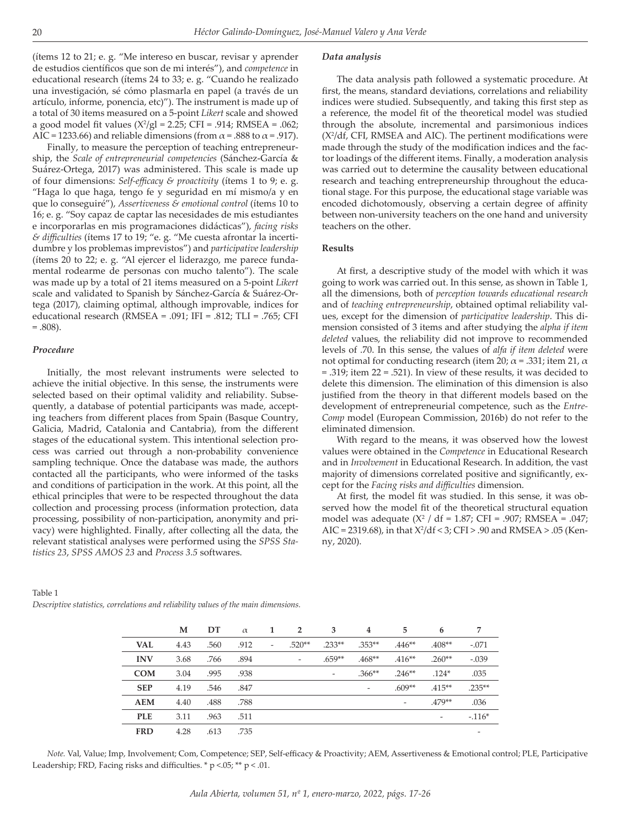(ítems 12 to 21; e. g. "Me intereso en buscar, revisar y aprender de estudios científicos que son de mi interés"), and *competence* in educational research (ítems 24 to 33; e. g. "Cuando he realizado una investigación, sé cómo plasmarla en papel (a través de un artículo, informe, ponencia, etc)"). The instrument is made up of a total of 30 items measured on a 5-point *Likert* scale and showed a good model fit values  $(X^2/gl = 2.25; CFI = .914; RMSEA = .062;$ AIC = 1233.66) and reliable dimensions (from  $\alpha$  = .888 to  $\alpha$  = .917).

Finally, to measure the perception of teaching entrepreneurship, the *Scale of entrepreneurial competencies* (Sánchez-García & Suárez-Ortega, 2017) was administered. This scale is made up of four dimensions: *Self-efficacy & proactivity* (ítems 1 to 9; e. g. "Haga lo que haga, tengo fe y seguridad en mí mismo/a y en que lo conseguiré"), *Assertiveness & emotional control* (ítems 10 to 16; e. g. "Soy capaz de captar las necesidades de mis estudiantes e incorporarlas en mis programaciones didácticas"), *facing risks & difficulties* (ítems 17 to 19; "e. g. "Me cuesta afrontar la incertidumbre y los problemas imprevistos") and *participative leadership*  (ítems 20 to 22; e. g. "Al ejercer el liderazgo, me parece fundamental rodearme de personas con mucho talento"). The scale was made up by a total of 21 items measured on a 5-point *Likert* scale and validated to Spanish by Sánchez-García & Suárez-Ortega (2017), claiming optimal, although improvable, indices for educational research (RMSEA = .091; IFI = .812; TLI = .765; CFI  $=.808$ ).

#### *Procedure*

Initially, the most relevant instruments were selected to achieve the initial objective. In this sense, the instruments were selected based on their optimal validity and reliability. Subsequently, a database of potential participants was made, accepting teachers from different places from Spain (Basque Country, Galicia, Madrid, Catalonia and Cantabria), from the different stages of the educational system. This intentional selection process was carried out through a non-probability convenience sampling technique. Once the database was made, the authors contacted all the participants, who were informed of the tasks and conditions of participation in the work. At this point, all the ethical principles that were to be respected throughout the data collection and processing process (information protection, data processing, possibility of non-participation, anonymity and privacy) were highlighted. Finally, after collecting all the data, the relevant statistical analyses were performed using the *SPSS Statistics 23*, *SPSS AMOS 23* and *Process 3.5* softwares.

#### *Data analysis*

The data analysis path followed a systematic procedure. At first, the means, standard deviations, correlations and reliability indices were studied. Subsequently, and taking this first step as a reference, the model fit of the theoretical model was studied through the absolute, incremental and parsimonious indices  $(X<sup>2</sup>/df, CFI, RMSEA and AIC)$ . The pertinent modifications were made through the study of the modification indices and the factor loadings of the different items. Finally, a moderation analysis was carried out to determine the causality between educational research and teaching entrepreneurship throughout the educational stage. For this purpose, the educational stage variable was encoded dichotomously, observing a certain degree of affinity between non-university teachers on the one hand and university teachers on the other.

#### **Results**

At first, a descriptive study of the model with which it was going to work was carried out. In this sense, as shown in Table 1, all the dimensions, both of *perception towards educational research* and of *teaching entrepreneurship*, obtained optimal reliability values, except for the dimension of *participative leadership*. This dimension consisted of 3 items and after studying the *alpha if item deleted* values, the reliability did not improve to recommended levels of .70. In this sense, the values of *alfa if item deleted* were not optimal for conducting research (item 20;  $\alpha$  = .331; item 21,  $\alpha$ = .319; item 22 = .521). In view of these results, it was decided to delete this dimension. The elimination of this dimension is also justified from the theory in that different models based on the development of entrepreneurial competence, such as the *Entre-Comp* model (European Commission, 2016b) do not refer to the eliminated dimension.

With regard to the means, it was observed how the lowest values were obtained in the *Competence* in Educational Research and in *Involvement* in Educational Research. In addition, the vast majority of dimensions correlated positive and significantly, except for the *Facing risks and difficulties* dimension.

At first, the model fit was studied. In this sense, it was observed how the model fit of the theoretical structural equation model was adequate  $(X^2 / df = 1.87; CFI = .907; RMSEA = .047;$ AIC = 2319.68), in that  $X^2/df < 3$ ; CFI > .90 and RMSEA > .05 (Kenny, 2020).

|            | М    | DT   | $\alpha$ | 1                        | $\overline{2}$               | 3                        | $\overline{4}$ | 5                        | 6                        | 7                        |
|------------|------|------|----------|--------------------------|------------------------------|--------------------------|----------------|--------------------------|--------------------------|--------------------------|
| <b>VAL</b> | 4.43 | .560 | .912     | $\overline{\phantom{0}}$ | $.520**$                     | $.233**$                 | $.353**$       | $.446**$                 | $.408**$                 | $-.071$                  |
| <b>INV</b> | 3.68 | .766 | .894     |                          | $\qquad \qquad \blacksquare$ | $.659**$                 | $.468**$       | $.416**$                 | $.260**$                 | $-.039$                  |
| <b>COM</b> | 3.04 | .995 | .938     |                          |                              | $\overline{\phantom{a}}$ | $.366**$       | $.246**$                 | $.124*$                  | .035                     |
| <b>SEP</b> | 4.19 | .546 | .847     |                          |                              |                          | ۰              | $.609**$                 | $.415**$                 | $.235**$                 |
| <b>AEM</b> | 4.40 | .488 | .788     |                          |                              |                          |                | $\overline{\phantom{a}}$ | $.479**$                 | .036                     |
| <b>PLE</b> | 3.11 | .963 | .511     |                          |                              |                          |                |                          | $\overline{\phantom{a}}$ | $-.116*$                 |
| <b>FRD</b> | 4.28 | .613 | .735     |                          |                              |                          |                |                          |                          | $\overline{\phantom{a}}$ |
|            |      |      |          |                          |                              |                          |                |                          |                          |                          |

Table 1

*Descriptive statistics, correlations and reliability values of the main dimensions.*

*Note.* Val, Value; Imp, Involvement; Com, Competence; SEP, Self-efficacy & Proactivity; AEM, Assertiveness & Emotional control; PLE, Participative Leadership; FRD, Facing risks and difficulties.  $*$  p <.05;  $**$  p <.01.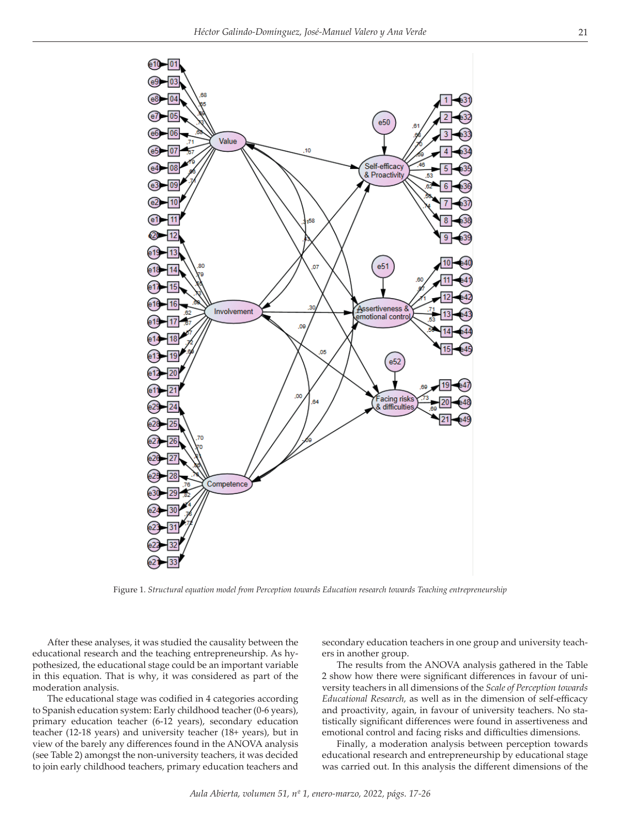

Figure 1. *Structural equation model from Perception towards Education research towards Teaching entrepreneurship*

After these analyses, it was studied the causality between the educational research and the teaching entrepreneurship. As hypothesized, the educational stage could be an important variable in this equation. That is why, it was considered as part of the moderation analysis.

The educational stage was codified in 4 categories according to Spanish education system: Early childhood teacher (0-6 years), primary education teacher (6-12 years), secondary education teacher (12-18 years) and university teacher (18+ years), but in view of the barely any differences found in the ANOVA analysis (see Table 2) amongst the non-university teachers, it was decided to join early childhood teachers, primary education teachers and

secondary education teachers in one group and university teachers in another group.

The results from the ANOVA analysis gathered in the Table 2 show how there were significant differences in favour of university teachers in all dimensions of the *Scale of Perception towards Educational Research,* as well as in the dimension of self-efficacy and proactivity, again, in favour of university teachers. No statistically significant differences were found in assertiveness and emotional control and facing risks and difficulties dimensions.

Finally, a moderation analysis between perception towards educational research and entrepreneurship by educational stage was carried out. In this analysis the different dimensions of the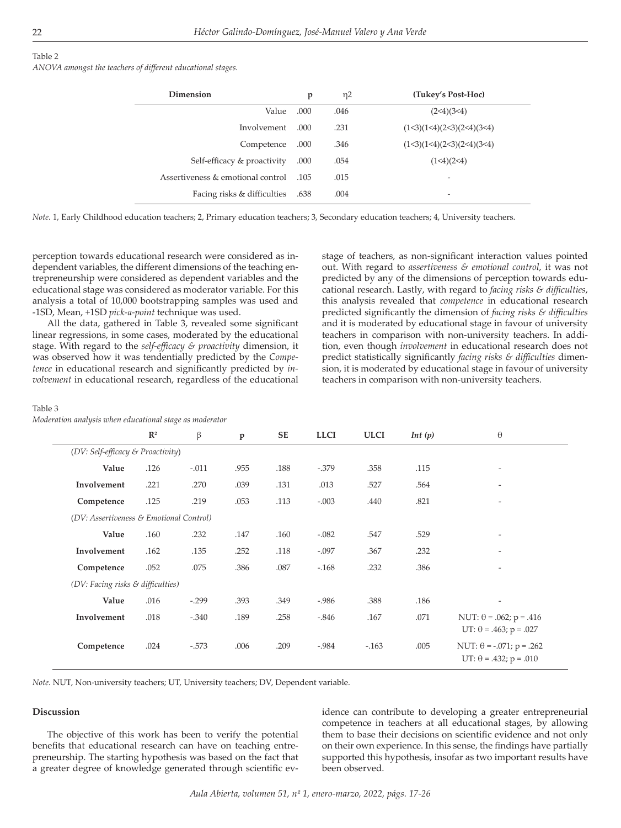#### Table 2

*ANOVA amongst the teachers of different educational stages.*

| Dimension                         | p     | $\eta$ 2 | (Tukey's Post-Hoc)        |
|-----------------------------------|-------|----------|---------------------------|
| Value                             | .000  | .046     | (2<4)(3<4)                |
| Involvement                       | .000. | .231     | (1<3)(1<4)(2<3)(2<4)(3<4) |
| Competence                        | .000  | .346     | (1<3)(1<4)(2<3)(2<4)(3<4) |
| Self-efficacy & proactivity       | .000  | .054     | (1<4)(2<4)                |
| Assertiveness & emotional control | - 105 | .015     | -                         |
| Facing risks & difficulties       | .638  | .004     | -                         |

*Note.* 1, Early Childhood education teachers; 2, Primary education teachers; 3, Secondary education teachers; 4, University teachers.

perception towards educational research were considered as independent variables, the different dimensions of the teaching entrepreneurship were considered as dependent variables and the educational stage was considered as moderator variable. For this analysis a total of 10,000 bootstrapping samples was used and -1SD, Mean, +1SD *pick-a-point* technique was used.

All the data, gathered in Table 3, revealed some significant linear regressions, in some cases, moderated by the educational stage. With regard to the *self-efficacy & proactivity* dimension, it was observed how it was tendentially predicted by the *Competence* in educational research and significantly predicted by *involvement* in educational research, regardless of the educational

# stage of teachers, as non-significant interaction values pointed out. With regard to *assertiveness & emotional control*, it was not predicted by any of the dimensions of perception towards educational research. Lastly, with regard to *facing risks & difficulties*, this analysis revealed that *competence* in educational research predicted significantly the dimension of *facing risks & difficulties* and it is moderated by educational stage in favour of university teachers in comparison with non-university teachers. In addition, even though *involvement* in educational research does not predict statistically significantly *facing risks & difficulties* dimension, it is moderated by educational stage in favour of university teachers in comparison with non-university teachers.

#### Table 3

*Moderation analysis when educational stage as moderator*

|                                   | $\mathbb{R}^2$                          | β       | $\mathbf{p}$ | <b>SE</b> | <b>LLCI</b> | <b>ULCI</b> | Int(p) | $\theta$                                                         |  |
|-----------------------------------|-----------------------------------------|---------|--------------|-----------|-------------|-------------|--------|------------------------------------------------------------------|--|
| (DV: Self-efficacy & Proactivity) |                                         |         |              |           |             |             |        |                                                                  |  |
| Value                             | .126                                    | $-.011$ | .955         | .188      | $-.379$     | .358        | .115   | $\overline{\phantom{a}}$                                         |  |
| Involvement                       | .221                                    | .270    | .039         | .131      | .013        | .527        | .564   | $\overline{\phantom{a}}$                                         |  |
| Competence                        | .125                                    | .219    | .053         | .113      | $-.003$     | .440        | .821   | $\overline{\phantom{a}}$                                         |  |
|                                   | (DV: Assertiveness & Emotional Control) |         |              |           |             |             |        |                                                                  |  |
| Value                             | .160                                    | .232    | .147         | .160      | $-.082$     | .547        | .529   | $\overline{\phantom{a}}$                                         |  |
| Involvement                       | .162                                    | .135    | .252         | .118      | $-.097$     | .367        | .232   | $\overline{\phantom{a}}$                                         |  |
| Competence                        | .052                                    | .075    | .386         | .087      | $-.168$     | .232        | .386   | $\overline{\phantom{a}}$                                         |  |
| (DV: Facing risks & difficulties) |                                         |         |              |           |             |             |        |                                                                  |  |
| Value                             | .016                                    | $-.299$ | .393         | .349      | $-0.986$    | .388        | .186   | $\overline{\phantom{a}}$                                         |  |
| Involvement                       | .018                                    | $-.340$ | .189         | .258      | $-0.846$    | .167        | .071   | NUT: $\theta$ = .062; p = .416<br>$UT: \theta = .463; p = .027$  |  |
| Competence                        | .024                                    | $-.573$ | .006         | .209      | $-0.984$    | $-163$      | .005   | NUT: $\theta$ = -.071; p = .262<br>$UT: \theta = .432; p = .010$ |  |

*Note.* NUT, Non-university teachers; UT, University teachers; DV, Dependent variable.

#### **Discussion**

The objective of this work has been to verify the potential benefits that educational research can have on teaching entrepreneurship. The starting hypothesis was based on the fact that a greater degree of knowledge generated through scientific evidence can contribute to developing a greater entrepreneurial competence in teachers at all educational stages, by allowing them to base their decisions on scientific evidence and not only on their own experience. In this sense, the findings have partially supported this hypothesis, insofar as two important results have been observed.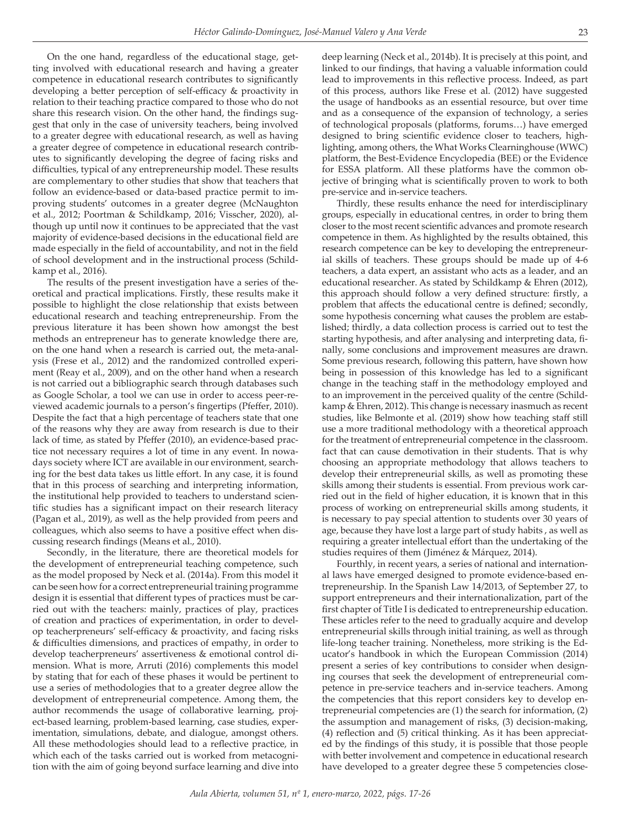On the one hand, regardless of the educational stage, getting involved with educational research and having a greater competence in educational research contributes to significantly developing a better perception of self-efficacy & proactivity in relation to their teaching practice compared to those who do not share this research vision. On the other hand, the findings suggest that only in the case of university teachers, being involved to a greater degree with educational research, as well as having a greater degree of competence in educational research contributes to significantly developing the degree of facing risks and difficulties, typical of any entrepreneurship model. These results are complementary to other studies that show that teachers that follow an evidence-based or data-based practice permit to improving students' outcomes in a greater degree (McNaughton et al., 2012; Poortman & Schildkamp, 2016; Visscher, 2020), although up until now it continues to be appreciated that the vast majority of evidence-based decisions in the educational field are made especially in the field of accountability, and not in the field of school development and in the instructional process (Schildkamp et al., 2016).

The results of the present investigation have a series of theoretical and practical implications. Firstly, these results make it possible to highlight the close relationship that exists between educational research and teaching entrepreneurship. From the previous literature it has been shown how amongst the best methods an entrepreneur has to generate knowledge there are, on the one hand when a research is carried out, the meta-analysis (Frese et al., 2012) and the randomized controlled experiment (Reay et al., 2009), and on the other hand when a research is not carried out a bibliographic search through databases such as Google Scholar, a tool we can use in order to access peer-reviewed academic journals to a person's fingertips (Pfeffer, 2010). Despite the fact that a high percentage of teachers state that one of the reasons why they are away from research is due to their lack of time, as stated by Pfeffer (2010), an evidence-based practice not necessary requires a lot of time in any event. In nowadays society where ICT are available in our environment, searching for the best data takes us little effort. In any case, it is found that in this process of searching and interpreting information, the institutional help provided to teachers to understand scientific studies has a significant impact on their research literacy (Pagan et al., 2019), as well as the help provided from peers and colleagues, which also seems to have a positive effect when discussing research findings (Means et al., 2010).

Secondly, in the literature, there are theoretical models for the development of entrepreneurial teaching competence, such as the model proposed by Neck et al. (2014a). From this model it can be seen how for a correct entrepreneurial training programme design it is essential that different types of practices must be carried out with the teachers: mainly, practices of play, practices of creation and practices of experimentation, in order to develop teacherpreneurs' self-efficacy & proactivity, and facing risks & difficulties dimensions, and practices of empathy, in order to develop teacherpreneurs' assertiveness & emotional control dimension. What is more, Arruti (2016) complements this model by stating that for each of these phases it would be pertinent to use a series of methodologies that to a greater degree allow the development of entrepreneurial competence. Among them, the author recommends the usage of collaborative learning, project-based learning, problem-based learning, case studies, experimentation, simulations, debate, and dialogue, amongst others. All these methodologies should lead to a reflective practice, in which each of the tasks carried out is worked from metacognition with the aim of going beyond surface learning and dive into

deep learning (Neck et al., 2014b). It is precisely at this point, and linked to our findings, that having a valuable information could lead to improvements in this reflective process. Indeed, as part of this process, authors like Frese et al. (2012) have suggested the usage of handbooks as an essential resource, but over time and as a consequence of the expansion of technology, a series of technological proposals (platforms, forums…) have emerged designed to bring scientific evidence closer to teachers, highlighting, among others, the What Works Clearninghouse (WWC) platform, the Best-Evidence Encyclopedia (BEE) or the Evidence for ESSA platform. All these platforms have the common objective of bringing what is scientifically proven to work to both pre-service and in-service teachers.

Thirdly, these results enhance the need for interdisciplinary groups, especially in educational centres, in order to bring them closer to the most recent scientific advances and promote research competence in them. As highlighted by the results obtained, this research competence can be key to developing the entrepreneurial skills of teachers. These groups should be made up of 4-6 teachers, a data expert, an assistant who acts as a leader, and an educational researcher. As stated by Schildkamp & Ehren (2012), this approach should follow a very defined structure: firstly, a problem that affects the educational centre is defined; secondly, some hypothesis concerning what causes the problem are established; thirdly, a data collection process is carried out to test the starting hypothesis, and after analysing and interpreting data, finally, some conclusions and improvement measures are drawn. Some previous research, following this pattern, have shown how being in possession of this knowledge has led to a significant change in the teaching staff in the methodology employed and to an improvement in the perceived quality of the centre (Schildkamp & Ehren, 2012). This change is necessary inasmuch as recent studies, like Belmonte et al. (2019) show how teaching staff still use a more traditional methodology with a theoretical approach for the treatment of entrepreneurial competence in the classroom. fact that can cause demotivation in their students. That is why choosing an appropriate methodology that allows teachers to develop their entrepreneurial skills, as well as promoting these skills among their students is essential. From previous work carried out in the field of higher education, it is known that in this process of working on entrepreneurial skills among students, it is necessary to pay special attention to students over 30 years of age, because they have lost a large part of study habits , as well as requiring a greater intellectual effort than the undertaking of the studies requires of them (Jiménez & Márquez, 2014).

Fourthly, in recent years, a series of national and international laws have emerged designed to promote evidence-based entrepreneurship. In the Spanish Law 14/2013, of September 27, to support entrepreneurs and their internationalization, part of the first chapter of Title I is dedicated to entrepreneurship education. These articles refer to the need to gradually acquire and develop entrepreneurial skills through initial training, as well as through life-long teacher training. Nonetheless, more striking is the Educator's handbook in which the European Commission (2014) present a series of key contributions to consider when designing courses that seek the development of entrepreneurial competence in pre-service teachers and in-service teachers. Among the competencies that this report considers key to develop entrepreneurial competencies are (1) the search for information, (2) the assumption and management of risks, (3) decision-making, (4) reflection and (5) critical thinking. As it has been appreciated by the findings of this study, it is possible that those people with better involvement and competence in educational research have developed to a greater degree these 5 competencies close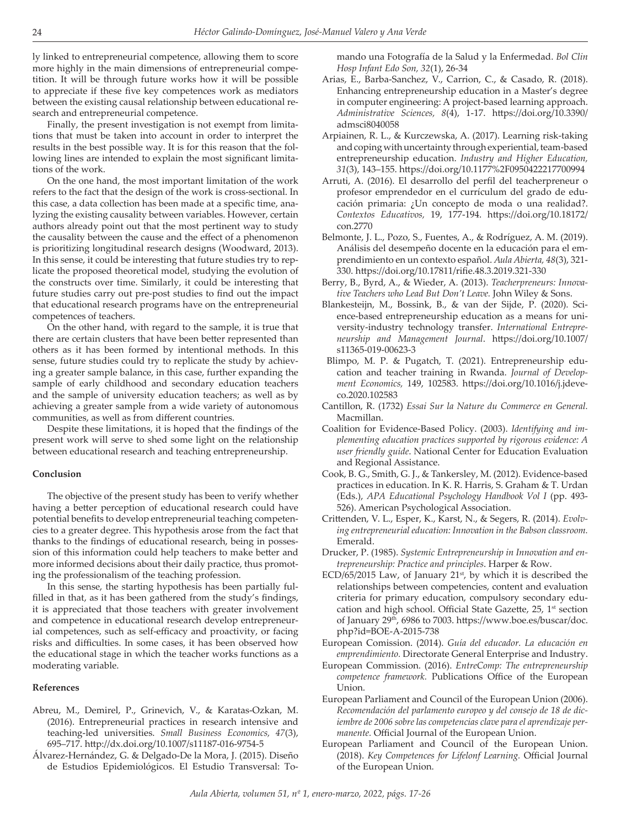ly linked to entrepreneurial competence, allowing them to score more highly in the main dimensions of entrepreneurial competition. It will be through future works how it will be possible to appreciate if these five key competences work as mediators between the existing causal relationship between educational research and entrepreneurial competence.

Finally, the present investigation is not exempt from limitations that must be taken into account in order to interpret the results in the best possible way. It is for this reason that the following lines are intended to explain the most significant limitations of the work.

On the one hand, the most important limitation of the work refers to the fact that the design of the work is cross-sectional. In this case, a data collection has been made at a specific time, analyzing the existing causality between variables. However, certain authors already point out that the most pertinent way to study the causality between the cause and the effect of a phenomenon is prioritizing longitudinal research designs (Woodward, 2013). In this sense, it could be interesting that future studies try to replicate the proposed theoretical model, studying the evolution of the constructs over time. Similarly, it could be interesting that future studies carry out pre-post studies to find out the impact that educational research programs have on the entrepreneurial competences of teachers.

On the other hand, with regard to the sample, it is true that there are certain clusters that have been better represented than others as it has been formed by intentional methods. In this sense, future studies could try to replicate the study by achieving a greater sample balance, in this case, further expanding the sample of early childhood and secondary education teachers and the sample of university education teachers; as well as by achieving a greater sample from a wide variety of autonomous communities, as well as from different countries.

Despite these limitations, it is hoped that the findings of the present work will serve to shed some light on the relationship between educational research and teaching entrepreneurship.

#### **Conclusion**

The objective of the present study has been to verify whether having a better perception of educational research could have potential benefits to develop entrepreneurial teaching competencies to a greater degree. This hypothesis arose from the fact that thanks to the findings of educational research, being in possession of this information could help teachers to make better and more informed decisions about their daily practice, thus promoting the professionalism of the teaching profession.

In this sense, the starting hypothesis has been partially fulfilled in that, as it has been gathered from the study's findings, it is appreciated that those teachers with greater involvement and competence in educational research develop entrepreneurial competences, such as self-efficacy and proactivity, or facing risks and difficulties. In some cases, it has been observed how the educational stage in which the teacher works functions as a moderating variable.

#### **References**

- Abreu, M., Demirel, P., Grinevich, V., & Karatas-Ozkan, M. (2016). Entrepreneurial practices in research intensive and teaching-led universities. *Small Business Economics, 47*(3), 695–717. http://dx.doi.org/10.1007/s11187-016-9754-5
- Álvarez-Hernández, G. & Delgado-De la Mora, J. (2015). Diseño de Estudios Epidemiológicos. El Estudio Transversal: To-

mando una Fotografía de la Salud y la Enfermedad. *Bol Clin Hosp Infant Edo Son, 32*(1), 26-34

- Arias, E., Barba-Sanchez, V., Carrion, C., & Casado, R. (2018). Enhancing entrepreneurship education in a Master's degree in computer engineering: A project-based learning approach. *Administrative Sciences, 8*(4), 1-17. https://doi.org/10.3390/ admsci8040058
- Arpiainen, R. L., & Kurczewska, A. (2017). Learning risk-taking and coping with uncertainty through experiential, team-based entrepreneurship education. *Industry and Higher Education, 31*(3), 143–155. https://doi.org/10.1177%2F0950422217700994
- Arruti, A. (2016). El desarrollo del perfil del teacherpreneur o profesor emprendedor en el currículum del grado de educación primaria: ¿Un concepto de moda o una realidad?. *Contextos Educativos,* 19, 177-194. https://doi.org/10.18172/ con.2770
- Belmonte, J. L., Pozo, S., Fuentes, A., & Rodríguez, A. M. (2019). Análisis del desempeño docente en la educación para el emprendimiento en un contexto español. *Aula Abierta, 48*(3), 321- 330. https://doi.org/10.17811/rifie.48.3.2019.321-330
- Berry, B., Byrd, A., & Wieder, A. (2013). *Teacherpreneurs: Innovative Teachers who Lead But Don't Leave.* John Wiley & Sons.
- Blankesteijn, M., Bossink, B., & van der Sijde, P. (2020). Science-based entrepreneurship education as a means for university-industry technology transfer. *International Entrepreneurship and Management Journal*. https://doi.org/10.1007/ s11365-019-00623-3
- Blimpo, M. P. & Pugatch, T. (2021). Entrepreneurship education and teacher training in Rwanda. *Journal of Development Economics,* 149, 102583. https://doi.org/10.1016/j.jdeveco.2020.102583
- Cantillon, R. (1732) *Essai Sur la Nature du Commerce en General.* Macmillan.
- Coalition for Evidence-Based Policy. (2003). *Identifying and implementing education practices supported by rigorous evidence: A user friendly guide*. National Center for Education Evaluation and Regional Assistance.
- Cook, B. G., Smith, G. J., & Tankersley, M. (2012). Evidence-based practices in education. In K. R. Harris, S. Graham & T. Urdan (Eds.), *APA Educational Psychology Handbook Vol I* (pp. 493- 526). American Psychological Association.
- Crittenden, V. L., Esper, K., Karst, N., & Segers, R. (2014). *Evolving entrepreneurial education: Innovation in the Babson classroom.* Emerald.
- Drucker, P. (1985). *Systemic Entrepreneurship in Innovation and entrepreneurship: Practice and principles*. Harper & Row.
- $ECD/65/2015$  Law, of January 21st, by which it is described the relationships between competencies, content and evaluation criteria for primary education, compulsory secondary education and high school. Official State Gazette, 25, 1<sup>st</sup> section of January 29<sup>th</sup>, 6986 to 7003. https://www.boe.es/buscar/doc. php?id=BOE-A-2015-738
- European Comission. (2014). *Guía del educador. La educación en emprendimiento.* Directorate General Enterprise and Industry.
- European Commission. (2016). *EntreComp: The entrepreneurship competence framework.* Publications Office of the European Union.
- European Parliament and Council of the European Union (2006). *Recomendación del parlamento europeo y del consejo de 18 de diciembre de 2006 sobre las competencias clave para el aprendizaje permanente.* Official Journal of the European Union.
- European Parliament and Council of the European Union. (2018). *Key Competences for Lifelonf Learning.* Official Journal of the European Union.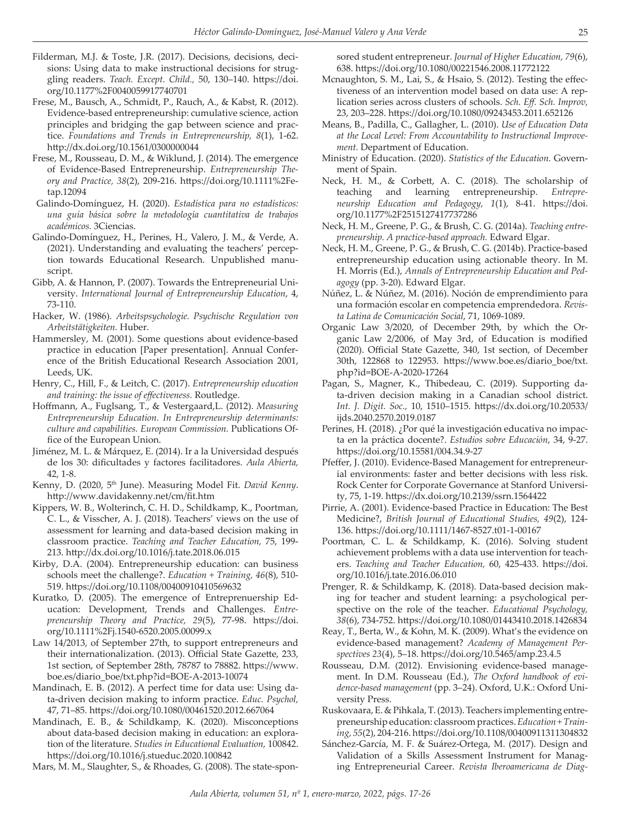- Filderman, M.J. & Toste, J.R. (2017). Decisions, decisions, decisions: Using data to make instructional decisions for struggling readers. *Teach. Except. Child.,* 50, 130–140. https://doi. org/10.1177%2F0040059917740701
- Frese, M., Bausch, A., Schmidt, P., Rauch, A., & Kabst, R. (2012). Evidence-based entrepreneurship: cumulative science, action principles and bridging the gap between science and practice. *Foundations and Trends in Entrepreneurship, 8*(1), 1-62. http://dx.doi.org/10.1561/0300000044
- Frese, M., Rousseau, D. M., & Wiklund, J. (2014). The emergence of Evidence-Based Entrepreneurship. *Entrepreneurship Theory and Practice, 38*(2), 209-216. https://doi.org/10.1111%2Fetap.12094
- Galindo-Domínguez, H. (2020). *Estadística para no estadísticos: una guía básica sobre la metodología cuantitativa de trabajos académicos.* 3Ciencias.
- Galindo-Domínguez, H., Perines, H., Valero, J. M., & Verde, A. (2021). Understanding and evaluating the teachers' perception towards Educational Research. Unpublished manuscript.
- Gibb, A. & Hannon, P. (2007). Towards the Entrepreneurial University. *International Journal of Entrepreneurship Education*, 4, 73-110.
- Hacker, W. (1986). *Arbeitspsychologie. Psychische Regulation von Arbeitstätigkeiten.* Huber.
- Hammersley, M. (2001). Some questions about evidence-based practice in education [Paper presentation]. Annual Conference of the British Educational Research Association 2001, Leeds, UK.
- Henry, C., Hill, F., & Leitch, C. (2017). *Entrepreneurship education and training: the issue of effectiveness.* Routledge.
- Hoffmann, A., Fuglsang, T., & Vestergaard,L. (2012). *Measuring Entrepreneurship Education. In Entrepreneurship determinants: culture and capabilities. European Commission.* Publications Office of the European Union.
- Jiménez, M. L. & Márquez, E. (2014). Ir a la Universidad después de los 30: dificultades y factores facilitadores. *Aula Abierta,* 42, 1-8.
- Kenny, D. (2020, 5th June). Measuring Model Fit. *David Kenny*. http://www.davidakenny.net/cm/fit.htm
- Kippers, W. B., Wolterinch, C. H. D., Schildkamp, K., Poortman, C. L., & Visscher, A. J. (2018). Teachers' views on the use of assessment for learning and data-based decision making in classroom practice. *Teaching and Teacher Education,* 75, 199- 213. http://dx.doi.org/10.1016/j.tate.2018.06.015
- Kirby, D.A. (2004). Entrepreneurship education: can business schools meet the challenge?. *Education + Training, 46*(8), 510- 519. https://doi.org/10.1108/00400910410569632
- Kuratko, D. (2005). The emergence of Entreprenuership Education: Development, Trends and Challenges. *Entrepreneurship Theory and Practice, 29*(5), 77-98. https://doi. org/10.1111%2Fj.1540-6520.2005.00099.x
- Law 14/2013, of September 27th, to support entrepreneurs and their internationalization. (2013). Official State Gazette, 233, 1st section, of September 28th, 78787 to 78882. https://www. boe.es/diario\_boe/txt.php?id=BOE-A-2013-10074
- Mandinach, E. B. (2012). A perfect time for data use: Using data-driven decision making to inform practice. *Educ. Psychol,* 47, 71–85. https://doi.org/10.1080/00461520.2012.667064
- Mandinach, E. B., & Schildkamp, K. (2020). Misconceptions about data-based decision making in education: an exploration of the literature. *Studies in Educational Evaluation,* 100842. https://doi.org/10.1016/j.stueduc.2020.100842

Mars, M. M., Slaughter, S., & Rhoades, G. (2008). The state-spon-

sored student entrepreneur. *Journal of Higher Education, 79*(6), 638. https://doi.org/10.1080/00221546.2008.11772122

- Mcnaughton, S. M., Lai, S., & Hsaio, S. (2012). Testing the effectiveness of an intervention model based on data use: A replication series across clusters of schools. *Sch. Eff. Sch. Improv,* 23, 203–228. https://doi.org/10.1080/09243453.2011.652126
- Means, B., Padilla, C., Gallagher, L. (2010). *Use of Education Data at the Local Level: From Accountability to Instructional Improvement.* Department of Education.
- Ministry of Education. (2020). *Statistics of the Education.* Government of Spain.
- Neck, H. M., & Corbett, A. C. (2018). The scholarship of teaching and learning entrepreneurship. *Entrepreneurship Education and Pedagogy, 1*(1), 8-41. https://doi. org/10.1177%2F2515127417737286
- Neck, H. M., Greene, P. G., & Brush, C. G. (2014a). *Teaching entrepreneurship. A practice-based approach.* Edward Elgar.
- Neck, H. M., Greene, P. G., & Brush, C. G. (2014b). Practice-based entrepreneurship education using actionable theory. In M. H. Morris (Ed.), *Annals of Entrepreneurship Education and Pedagogy* (pp. 3-20). Edward Elgar.
- Núñez, L. & Núñez, M. (2016). Noción de emprendimiento para una formación escolar en competencia emprendedora. *Revista Latina de Comunicación Social*, 71, 1069-1089.
- Organic Law 3/2020, of December 29th, by which the Organic Law 2/2006, of May 3rd, of Education is modified (2020). Official State Gazette, 340, 1st section, of December 30th, 122868 to 122953. https://www.boe.es/diario\_boe/txt. php?id=BOE-A-2020-17264
- Pagan, S., Magner, K., Thibedeau, C. (2019). Supporting data-driven decision making in a Canadian school district. *Int. J. Digit. Soc.,* 10, 1510–1515. https://dx.doi.org/10.20533/ ijds.2040.2570.2019.0187
- Perines, H. (2018). ¿Por qué la investigación educativa no impacta en la práctica docente?. *Estudios sobre Educación*, 34, 9-27. https://doi.org/10.15581/004.34.9-27
- Pfeffer, J. (2010). Evidence-Based Management for entrepreneurial environments: faster and better decisions with less risk. Rock Center for Corporate Governance at Stanford University, 75, 1-19. https://dx.doi.org/10.2139/ssrn.1564422
- Pirrie, A. (2001). Evidence-based Practice in Education: The Best Medicine?, *British Journal of Educational Studies, 49*(2), 124- 136. https://doi.org/10.1111/1467-8527.t01-1-00167
- Poortman, C. L. & Schildkamp, K. (2016). Solving student achievement problems with a data use intervention for teachers. *Teaching and Teacher Education,* 60, 425-433. https://doi. org/10.1016/j.tate.2016.06.010
- Prenger, R. & Schildkamp, K. (2018). Data-based decision making for teacher and student learning: a psychological perspective on the role of the teacher. *Educational Psychology, 38*(6), 734-752. https://doi.org/10.1080/01443410.2018.1426834
- Reay, T., Berta, W., & Kohn, M. K. (2009). What's the evidence on evidence-based management? *Academy of Management Perspectives 23*(4), 5–18. https://doi.org/10.5465/amp.23.4.5
- Rousseau, D.M. (2012). Envisioning evidence-based management. In D.M. Rousseau (Ed.), *The Oxford handbook of evidence-based management* (pp. 3–24). Oxford, U.K.: Oxford University Press.
- Ruskovaara, E. & Pihkala, T. (2013). Teachers implementing entrepreneurship education: classroom practices. *Education + Training, 55*(2), 204-216. https://doi.org/10.1108/00400911311304832
- Sánchez-García, M. F. & Suárez-Ortega, M. (2017). Design and Validation of a Skills Assessment Instrument for Managing Entrepreneurial Career. *Revista Iberoamericana de Diag-*